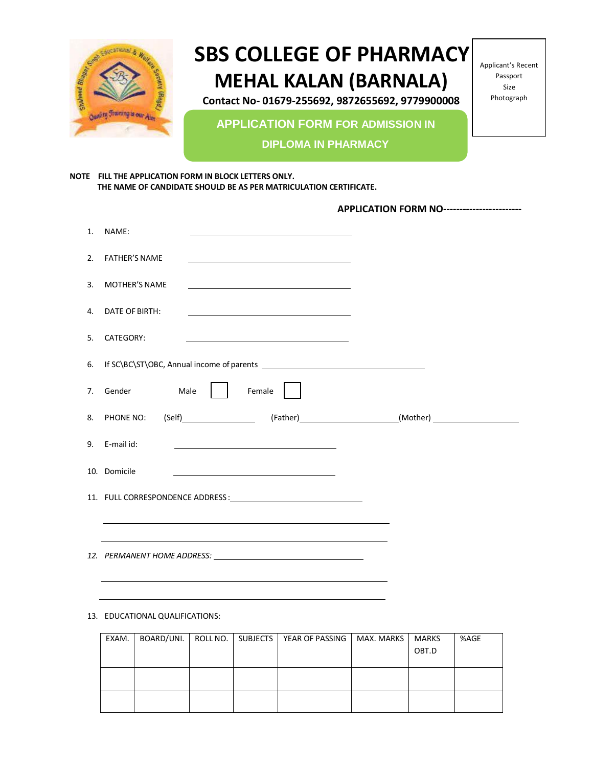

# **SBS COLLEGE OF PHARMACY MEHAL KALAN (BARNALA)**

**Contact No- 01679-255692, 9872655692, 9779900008**

Applicant's Recent Passport Size Photograph

**APPLICATION FORM FOR ADMISSION IN** 

**DIPLOMA IN PHARMACY**

**NOTE FILL THE APPLICATION FORM IN BLOCK LETTERS ONLY. THE NAME OF CANDIDATE SHOULD BE AS PER MATRICULATION CERTIFICATE.**

| <b>APPLICATION FORM NO------------------------</b> |
|----------------------------------------------------|
|----------------------------------------------------|

| 1. | NAME:                                                                                                                                   |  |
|----|-----------------------------------------------------------------------------------------------------------------------------------------|--|
| 2. | FATHER'S NAME<br>the contract of the contract of the contract of the contract of the contract of the                                    |  |
| 3. | MOTHER'S NAME<br><u> 1989 - Johann Barn, mars ann an t-Amhain ann an t-Amhain an t-Amhain an t-Amhain an t-Amhain an t-Amhain an t-</u> |  |
| 4. | DATE OF BIRTH:<br><u> 1990 - Johann Barbara, martin amerikan basar da</u>                                                               |  |
| 5. | CATEGORY:<br><u> 1990 - Johann Barbara, martin amerikan basar da</u>                                                                    |  |
|    | 6. If SC\BC\ST\OBC, Annual income of parents ___________________________________                                                        |  |
|    | 7. Gender Male<br>Female                                                                                                                |  |
|    | 8. PHONE NO:                                                                                                                            |  |
|    | 9. E-mail id:<br><u> 1989 - Johann Barn, mars eta bainar eta baina eta baina eta baina eta baina eta baina eta baina eta baina e</u>    |  |
|    | 10. Domicile<br><u> 1989 - Johann Barbara, martin amerikan basar da</u>                                                                 |  |
|    |                                                                                                                                         |  |
|    | and the control of the control of the control of the control of the control of the control of the control of the                        |  |
|    |                                                                                                                                         |  |

13. EDUCATIONAL QUALIFICATIONS:

| EXAM. I |  | BOARD/UNI.   ROLL NO.   SUBJECTS   YEAR OF PASSING   MAX. MARKS | MARKS | %AGE |
|---------|--|-----------------------------------------------------------------|-------|------|
|         |  |                                                                 | OBT.D |      |
|         |  |                                                                 |       |      |
|         |  |                                                                 |       |      |
|         |  |                                                                 |       |      |
|         |  |                                                                 |       |      |
|         |  |                                                                 |       |      |